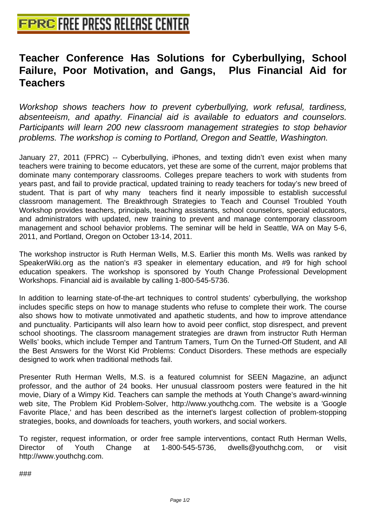## **[Teacher Conference Has Solutio](http://www.free-press-release-center.info)ns for Cyberbullying, School Failure, Poor Motivation, and Gangs, Plus Financial Aid for Teachers**

Workshop shows teachers how to prevent cyberbullying, work refusal, tardiness, absenteeism, and apathy. Financial aid is available to eduators and counselors. Participants will learn 200 new classroom management strategies to stop behavior problems. The workshop is coming to Portland, Oregon and Seattle, Washington.

January 27, 2011 (FPRC) -- Cyberbullying, iPhones, and texting didn't even exist when many teachers were training to become educators, yet these are some of the current, major problems that dominate many contemporary classrooms. Colleges prepare teachers to work with students from years past, and fail to provide practical, updated training to ready teachers for today's new breed of student. That is part of why many teachers find it nearly impossible to establish successful classroom management. The Breakthrough Strategies to Teach and Counsel Troubled Youth Workshop provides teachers, principals, teaching assistants, school counselors, special educators, and administrators with updated, new training to prevent and manage contemporary classroom management and school behavior problems. The seminar will be held in Seattle, WA on May 5-6, 2011, and Portland, Oregon on October 13-14, 2011.

The workshop instructor is Ruth Herman Wells, M.S. Earlier this month Ms. Wells was ranked by SpeakerWiki.org as the nation's #3 speaker in elementary education, and #9 for high school education speakers. The workshop is sponsored by Youth Change Professional Development Workshops. Financial aid is available by calling 1-800-545-5736.

In addition to learning state-of-the-art techniques to control students' cyberbullying, the workshop includes specific steps on how to manage students who refuse to complete their work. The course also shows how to motivate unmotivated and apathetic students, and how to improve attendance and punctuality. Participants will also learn how to avoid peer conflict, stop disrespect, and prevent school shootings. The classroom management strategies are drawn from instructor Ruth Herman Wells' books, which include Temper and Tantrum Tamers, Turn On the Turned-Off Student, and All the Best Answers for the Worst Kid Problems: Conduct Disorders. These methods are especially designed to work when traditional methods fail.

Presenter Ruth Herman Wells, M.S. is a featured columnist for SEEN Magazine, an adjunct professor, and the author of 24 books. Her unusual classroom posters were featured in the hit movie, Diary of a Wimpy Kid. Teachers can sample the methods at Youth Change's award-winning web site, The Problem Kid Problem-Solver, http://www.youthchg.com. The website is a 'Google Favorite Place,' and has been described as the internet's largest collection of problem-stopping strategies, books, and downloads for teachers, youth workers, and social workers.

To register, request information, or order free sample interventions, contact Ruth Herman Wells, Director of Youth Change at 1-800-545-5736, dwells@youthchg.com, or visit http://www.youthchg.com.

 ###